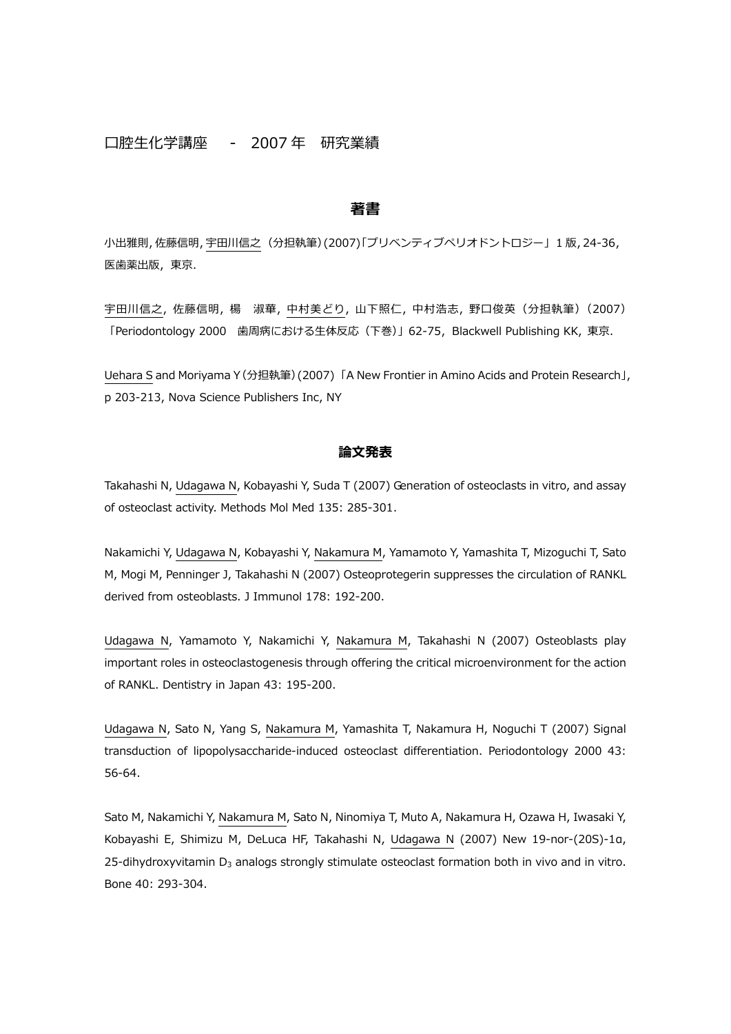# 口腔生化学講座 - 2007 年 研究業績

### **著書**

小出雅則,佐藤信明,宇田川信之(分担執筆)(2007)「プリベンティブペリオドントロジー」 1 版,24-36, 医歯薬出版, 東京.

宇田川信之, 佐藤信明, 楊 淑華, 中村美どり, 山下照仁, 中村浩志, 野口俊英(分担執筆)(2007) 「Periodontology 2000 ⻭周病における生体反応(下巻)」62-75,Blackwell Publishing KK, 東京.

Uehara S and Moriyama Y(分担執筆)(2007) 「A New Frontier in Amino Acids and Protein Research」, p 203-213, Nova Science Publishers Inc, NY

# **論⽂発表**

Takahashi N, Udagawa N, Kobayashi Y, Suda T (2007) Generation of osteoclasts in vitro, and assay of osteoclast activity. Methods Mol Med 135: 285-301.

Nakamichi Y, Udagawa N, Kobayashi Y, Nakamura M, Yamamoto Y, Yamashita T, Mizoguchi T, Sato M, Mogi M, Penninger J, Takahashi N (2007) Osteoprotegerin suppresses the circulation of RANKL derived from osteoblasts. J Immunol 178: 192-200.

Udagawa N, Yamamoto Y, Nakamichi Y, Nakamura M, Takahashi N (2007) Osteoblasts play important roles in osteoclastogenesis through offering the critical microenvironment for the action of RANKL. Dentistry in Japan 43: 195-200.

Udagawa N, Sato N, Yang S, Nakamura M, Yamashita T, Nakamura H, Noguchi T (2007) Signal transduction of lipopolysaccharide-induced osteoclast differentiation. Periodontology 2000 43: 56-64.

Sato M, Nakamichi Y, Nakamura M, Sato N, Ninomiya T, Muto A, Nakamura H, Ozawa H, Iwasaki Y, Kobayashi E, Shimizu M, DeLuca HF, Takahashi N, Udagawa N (2007) New 19-nor-(20S)-1α, 25-dihydroxyvitamin  $D_3$  analogs strongly stimulate osteoclast formation both in vivo and in vitro. Bone 40: 293-304.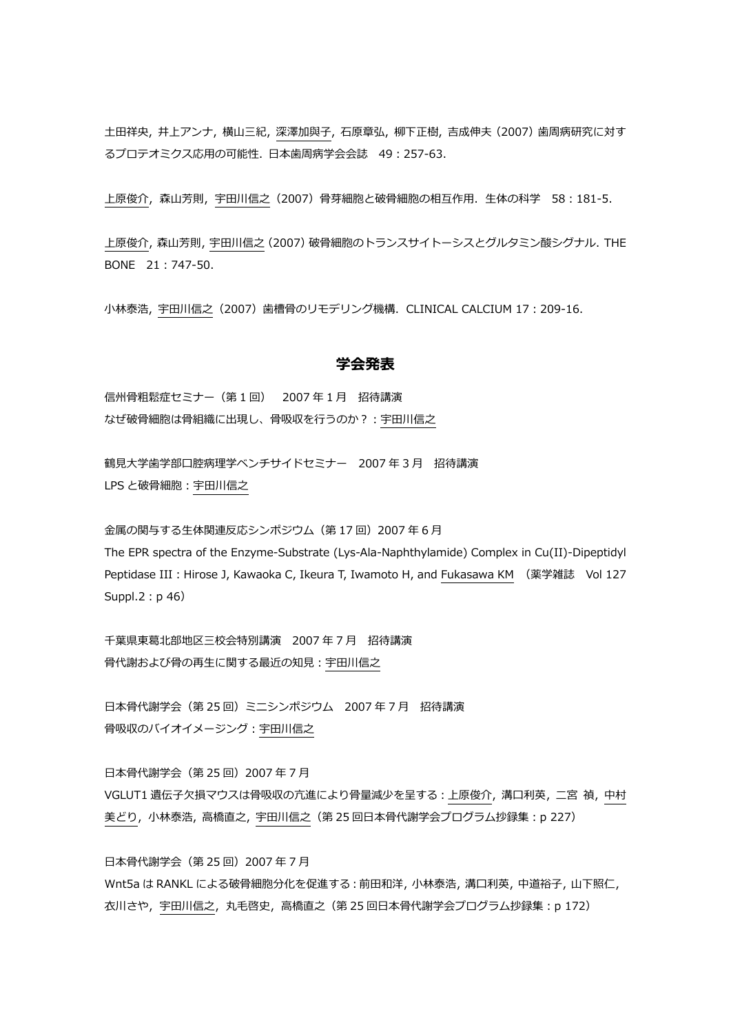土田祥央, 井上アンナ, 横山三紀, 深澤加與子, 石原章弘, 柳下正樹, 吉成伸夫(2007)⻭周病研究に対す るプロテオミクス応用の可能性. ⽇本⻭周病学会会誌 49:257-63.

上原俊介,森山芳則,宇田川信之(2007)骨芽細胞と破骨細胞の相互作用.生体の科学 58:181-5.

上原俊介,森山芳則,宇田川信之 (2007)破骨細胞のトランスサイトーシスとグルタミン酸シグナル. THE BONE 21:747-50.

小林泰浩, 宇田川信之 (2007) 歯槽骨のリモデリング機構. CLINICAL CALCIUM 17:209-16.

# **学会発表**

信州骨粗鬆症セミナー(第 1 回) 2007 年 1 月 招待講演 なぜ破骨細胞は骨組織に出現し、骨吸収を⾏うのか?:宇田川信之

鶴見大学歯学部口腔病理学ベンチサイドセミナー 2007年3月 招待講演 LPS と破骨細胞:宇田川信之

金属の関与する生体関連反応シンポジウム (第17回) 2007年6月 The EPR spectra of the Enzyme-Substrate (Lys-Ala-Naphthylamide) Complex in Cu(II)-Dipeptidyl Peptidase III: Hirose J, Kawaoka C, Ikeura T, Iwamoto H, and Fukasawa KM (薬学雑誌 Vol 127 Suppl.2: p 46)

千葉県東葛北部地区三校会特別講演 2007 年 7 月 招待講演 骨代謝および骨の再生に関する最近の知⾒:宇田川信之

日本骨代謝学会(第 25 回) ミニシンポジウム 2007 年 7 月 招待講演 骨吸収のバイオイメージング:宇田川信之

日本骨代謝学会(第 25 回) 2007 年 7 月 VGLUT1 遺伝子欠損マウスは骨吸収の亢進により骨量減少を呈する: 上原俊介, 溝口利英, 二宮 禎, 中村 美どり,小林泰浩,高橋直之,宇田川信之(第 25 回日本骨代謝学会プログラム抄録集: p 227)

日本骨代謝学会(第 25 回) 2007 年 7 月 Wnt5a は RANKL による破骨細胞分化を促進する:前田和洋,小林泰浩,溝口利英,中道裕子,山下照仁, 衣川さや,宇田川信之,丸毛啓史,高橋直之(第 25 回⽇本骨代謝学会プログラム抄録集:p 172)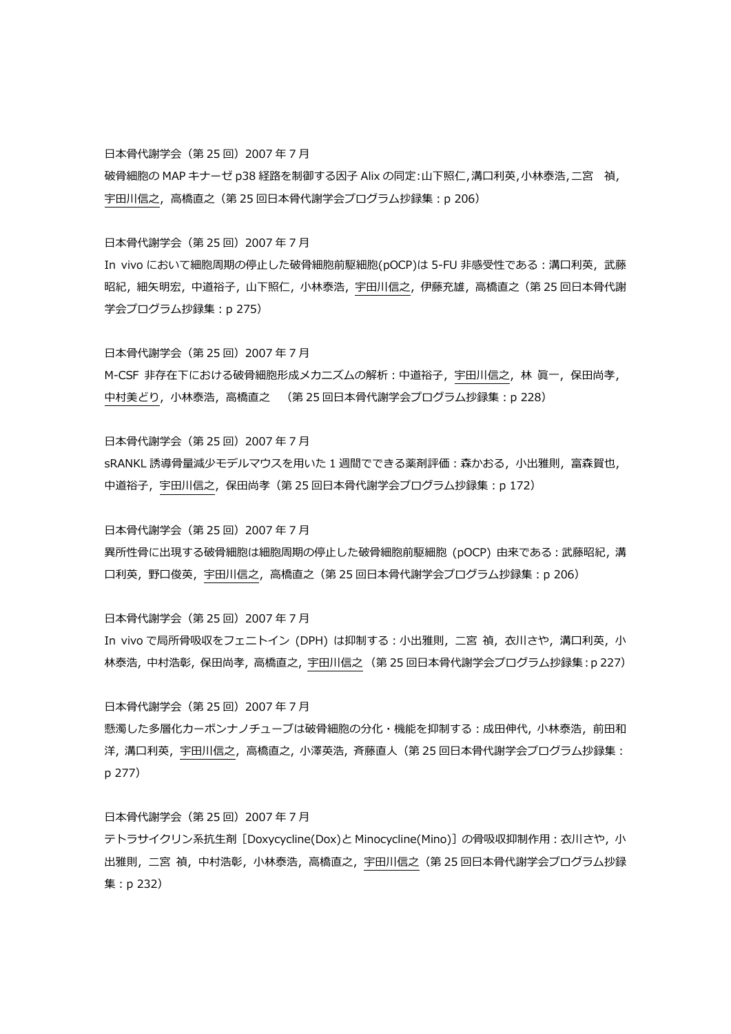日本骨代謝学会(第 25 回) 2007 年 7 月

破骨細胞の MAP キナーゼ p38 経路を制御する因子 Alix の同定:山下照仁,溝口利英,小林泰浩,二宮 禎, 宇田川信之, 高橋直之 (第 25 回日本骨代謝学会プログラム抄録集: p 206)

日本骨代謝学会(第 25 回) 2007 年 7 月

In vivo において細胞周期の停止した破骨細胞前駆細胞(pOCP)は 5-FU 非感受性である:溝口利英,武藤 昭紀, 細矢明宏, 中道裕子, 山下照仁, 小林泰浩, 宇田川信之, 伊藤充雄, 高橋直之 (第 25 回日本骨代謝 学会プログラム抄録集:p 275)

⽇本骨代謝学会(第 25 回)2007 年 7 月 M-CSF 非存在下における破骨細胞形成メカニズムの解析:中道裕子,宇田川信之,林 眞一,保田尚孝, 中村美どり,小林泰浩,高橋直之 (第 25 回日本骨代謝学会プログラム抄録集:p 228)

日本骨代謝学会(第 25 回) 2007 年 7 月 sRANKL 誘導骨量減少モデルマウスを用いた 1 週間でできる薬剤評価:森かおる,小出雅則,富森賀也, 中道裕子,宇田川信之,保田尚孝 (第 25 回日本骨代謝学会プログラム抄録集: p 172)

日本骨代謝学会(第 25 回) 2007 年 7 月

異所性骨に出現する破骨細胞は細胞周期の停止した破骨細胞前駆細胞 (pOCP) 由来である:武藤昭紀,溝 口利英,野口俊英,宇田川信之,高橋直之 (第 25 回日本骨代謝学会プログラム抄録集:p 206)

日本骨代謝学会(第 25 回) 2007 年 7 月 In vivo で局所骨吸収をフェニトイン (DPH) は抑制する:小出雅則, 二宮 禎, 衣川さや, 溝口利英, 小 林泰浩, 中村浩彰, 保田尚孝, 高橋直之, 宇田川信之 (第 25 回⽇本骨代謝学会プログラム抄録集:p 227)

日本骨代謝学会(第 25 回) 2007 年 7 月 懸濁した多層化カーボンナノチューブは破骨細胞の分化・機能を抑制する:成田伸代, 小林泰浩,前田和 洋, 溝口利英, 宇田川信之, 高橋直之, 小澤英浩, 斉藤直人 (第 25 回日本骨代謝学会プログラム抄録集: p 277)

日本骨代謝学会(第 25 回) 2007 年 7 月 テトラサイクリン系抗生剤 [Doxycycline(Dox)と Minocycline(Mino)]の骨吸収抑制作用:衣川さや, 小 出雅則, 二宮 禎, 中村浩彰, 小林泰浩, 高橋直之, 宇田川信之 (第 25 回日本骨代謝学会プログラム抄録 集:p 232)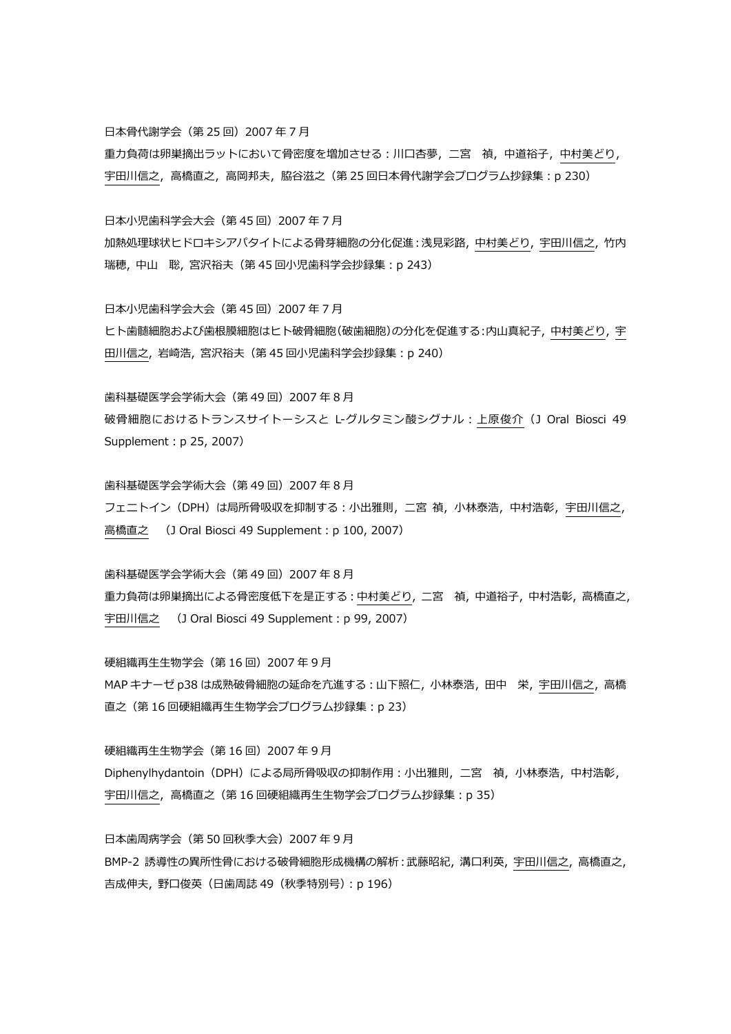日本骨代謝学会(第 25 回) 2007 年 7 月

重力負荷は卵巣摘出ラットにおいて骨密度を増加させる:川口杏夢,二宮 禎,中道裕子,中村美どり, 宇田川信之,高橋直之,高岡邦夫,脇谷滋之 (第 25 回日本骨代謝学会プログラム抄録集:p 230)

日本小児歯科学会大会(第45回)2007年7月

加熱処理球状ヒドロキシアパタイトによる骨芽細胞の分化促進:浅⾒彩路, 中村美どり, 宇田川信之, 竹内 瑞穂, 中山 聡, 宮沢裕夫(第 45 回小児⻭科学会抄録集:p 243)

日本小児歯科学会大会(第45回)2007年7月

ヒト歯髄細胞および歯根膜細胞はヒト破骨細胞(破歯細胞)の分化を促進する:内山真紀子, 中村美どり, 宇 田川信之, 岩崎浩, 宮沢裕夫(第 45 回小児⻭科学会抄録集:p 240)

⻭科基礎医学会学術⼤会(第 49 回)2007 年 8 月

破骨細胞におけるトランスサイトーシスと L-グルタミン酸シグナル:上原俊介(J Oral Biosci 49 Supplement: p 25, 2007)

⻭科基礎医学会学術⼤会(第 49 回)2007 年 8 月 フェニトイン (DPH) は局所骨吸収を抑制する:小出雅則, 二宮 禎, 小林泰浩, 中村浩彰, 宇田川信之, 高橋直之 (J Oral Biosci 49 Supplement: p 100, 2007)

⻭科基礎医学会学術⼤会(第 49 回)2007 年 8 月 重力負荷は卵巣摘出による骨密度低下を是正する: 中村美どり, 二宮 禎, 中道裕子, 中村浩彰, 高橋直之, 宇田川信之 (J Oral Biosci 49 Supplement: p 99, 2007)

硬組織再生生物学会(第 16 回)2007 年 9 月 MAP キナーゼ p38 は成熟破骨細胞の延命を亢進する:山下照仁,小林泰浩,田中 栄,宇田川信之,高橋 直之(第 16 回硬組織再生生物学会プログラム抄録集:p 23)

硬組織再生生物学会(第 16 回)2007 年 9 月 Diphenylhydantoin (DPH)による局所骨吸収の抑制作用:小出雅則,二宮 禎,小林泰浩,中村浩彰, 宇田川信之,高橋直之(第 16 回硬組織再生生物学会プログラム抄録集:p 35)

日本歯周病学会(第 50 回秋季大会) 2007 年 9 月 BMP-2 誘導性の異所性骨における破骨細胞形成機構の解析:武藤昭紀, 溝口利英, 宇田川信之, 高橋直之, 吉成伸夫, 野口俊英 (日歯周誌 49 (秋季特別号): p 196)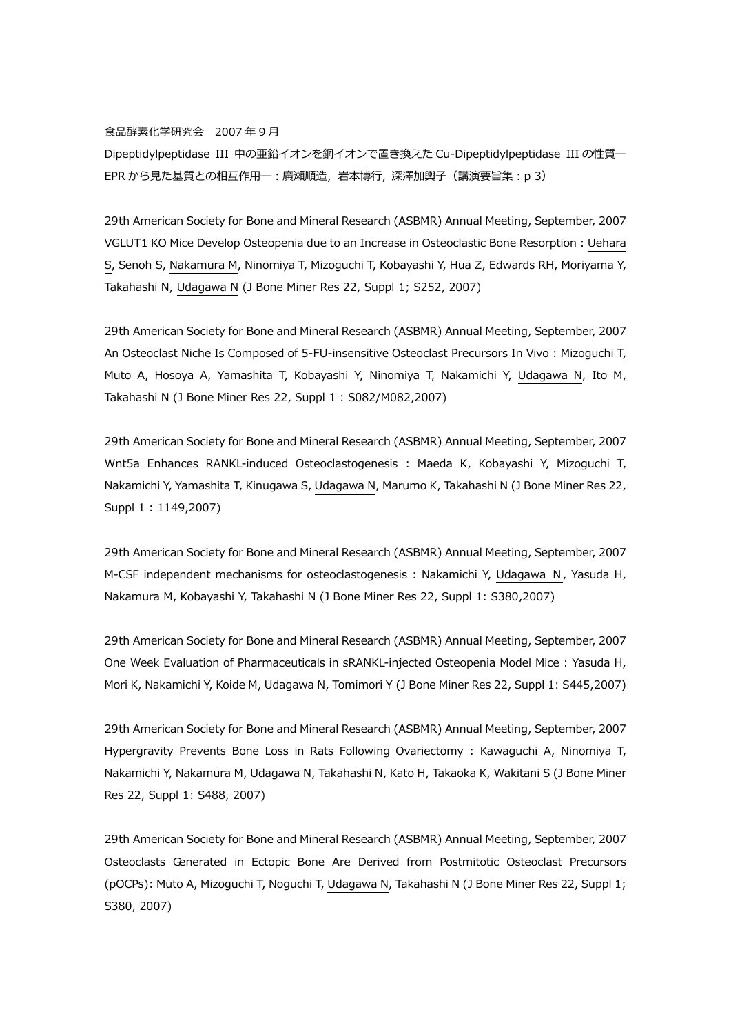#### 食品酵素化学研究会 2007 年 9 月

Dipeptidylpeptidase III 中の亜鉛イオンを銅イオンで置き換えた Cu-Dipeptidylpeptidase III の性質― EPR から見た基質との相互作用─ : 廣瀬順造, 岩本博行, 深澤加輿子 (講演要旨集: p 3)

29th American Society for Bone and Mineral Research (ASBMR) Annual Meeting, September, 2007 VGLUT1 KO Mice Develop Osteopenia due to an Increase in Osteoclastic Bone Resorption : Uehara S, Senoh S, Nakamura M, Ninomiya T, Mizoguchi T, Kobayashi Y, Hua Z, Edwards RH, Moriyama Y, Takahashi N, Udagawa N (J Bone Miner Res 22, Suppl 1; S252, 2007)

29th American Society for Bone and Mineral Research (ASBMR) Annual Meeting, September, 2007 An Osteoclast Niche Is Composed of 5-FU-insensitive Osteoclast Precursors In Vivo : Mizoguchi T, Muto A, Hosoya A, Yamashita T, Kobayashi Y, Ninomiya T, Nakamichi Y, Udagawa N, Ito M, Takahashi N (J Bone Miner Res 22, Suppl 1 : S082/M082,2007)

29th American Society for Bone and Mineral Research (ASBMR) Annual Meeting, September, 2007 Wnt5a Enhances RANKL-induced Osteoclastogenesis : Maeda K, Kobayashi Y, Mizoguchi T, Nakamichi Y, Yamashita T, Kinugawa S, Udagawa N, Marumo K, Takahashi N (J Bone Miner Res 22, Suppl 1 : 1149,2007)

29th American Society for Bone and Mineral Research (ASBMR) Annual Meeting, September, 2007 M-CSF independent mechanisms for osteoclastogenesis : Nakamichi Y, Udagawa N, Yasuda H, Nakamura M, Kobayashi Y, Takahashi N (J Bone Miner Res 22, Suppl 1: S380,2007)

29th American Society for Bone and Mineral Research (ASBMR) Annual Meeting, September, 2007 One Week Evaluation of Pharmaceuticals in sRANKL-injected Osteopenia Model Mice : Yasuda H, Mori K, Nakamichi Y, Koide M, Udagawa N, Tomimori Y (J Bone Miner Res 22, Suppl 1: S445,2007)

29th American Society for Bone and Mineral Research (ASBMR) Annual Meeting, September, 2007 Hypergravity Prevents Bone Loss in Rats Following Ovariectomy : Kawaguchi A, Ninomiya T, Nakamichi Y, Nakamura M, Udagawa N, Takahashi N, Kato H, Takaoka K, Wakitani S (J Bone Miner Res 22, Suppl 1: S488, 2007)

29th American Society for Bone and Mineral Research (ASBMR) Annual Meeting, September, 2007 Osteoclasts Generated in Ectopic Bone Are Derived from Postmitotic Osteoclast Precursors (pOCPs): Muto A, Mizoguchi T, Noguchi T, Udagawa N, Takahashi N (J Bone Miner Res 22, Suppl 1; S380, 2007)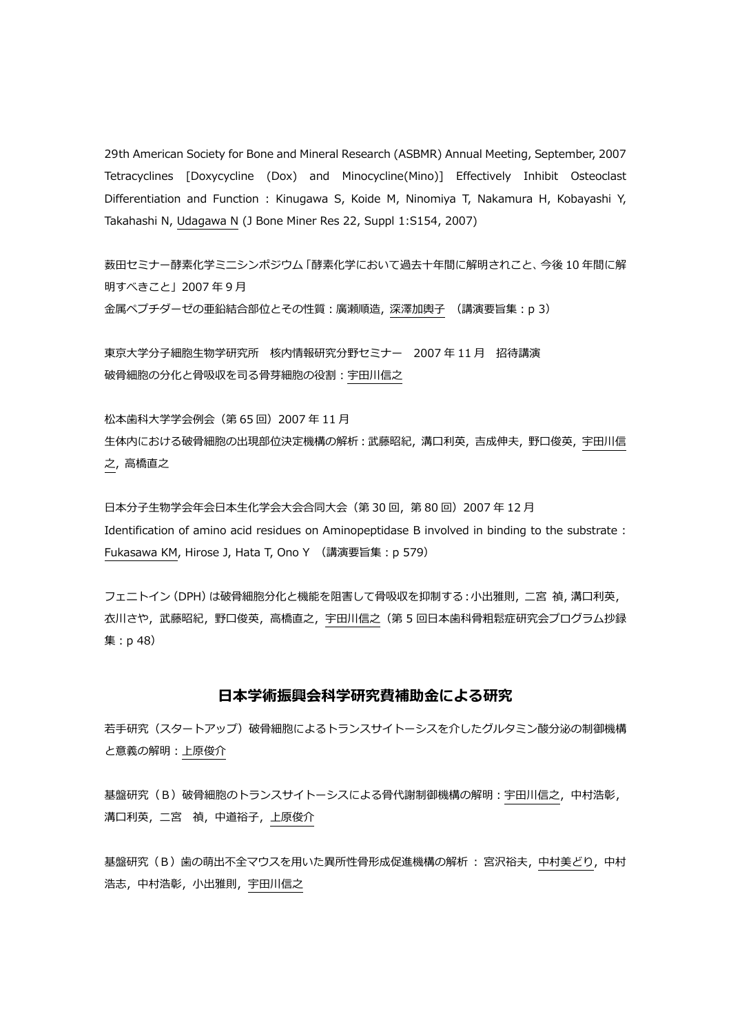29th American Society for Bone and Mineral Research (ASBMR) Annual Meeting, September, 2007 Tetracyclines [Doxycycline (Dox) and Minocycline(Mino)] Effectively Inhibit Osteoclast Differentiation and Function : Kinugawa S, Koide M, Ninomiya T, Nakamura H, Kobayashi Y, Takahashi N, Udagawa N (J Bone Miner Res 22, Suppl 1:S154, 2007)

薮田セミナー酵素化学ミニシンポジウム「酵素化学において過去十年間に解明されこと、今後 10 年間に解 明すべきこと」2007 年 9 月 ⾦属ペプチダーゼの亜鉛結合部位とその性質:廣瀬順造, 深澤加輿子 (講演要旨集:p 3)

東京⼤学分子細胞生物学研究所 核内情報研究分野セミナー 2007 年 11 月 招待講演 破骨細胞の分化と骨吸収を司る骨芽細胞の役割:宇田川信之

松本⻭科⼤学学会例会(第 65 回)2007 年 11 月 生体内における破骨細胞の出現部位決定機構の解析:武藤昭紀, 溝口利英, 吉成伸夫, 野口俊英, 宇田川信 之, 高橋直之

日本分子生物学会年会日本生化学会大会合同大会(第 30 回,第 80 回) 2007 年 12 月 Identification of amino acid residues on Aminopeptidase B involved in binding to the substrate : Fukasawa KM, Hirose J, Hata T, Ono Y (講演要旨集:p 579)

フェニトイン (DPH) は破骨細胞分化と機能を阻害して骨吸収を抑制する:小出雅則, 二宮 禎, 溝口利英, 衣川さや,武藤昭紀,野口俊英,高橋直之,宇田川信之(第 5 回⽇本⻭科骨粗鬆症研究会プログラム抄録 集:p 48)

## **日本学術振興会科学研究費補助⾦による研究**

若⼿研究(スタートアップ)破骨細胞によるトランスサイトーシスを介したグルタミン酸分泌の制御機構 と意義の解明:上原俊介

基盤研究 (B) 破骨細胞のトランスサイトーシスによる骨代謝制御機構の解明:宇田川信之,中村浩彰, 溝口利英,⼆宮 禎,中道裕子,上原俊介

基盤研究 (B) 歯の萌出不全マウスを用いた異所性骨形成促進機構の解析 : 宮沢裕夫, 中村美どり, 中村 浩志,中村浩彰,小出雅則,宇田川信之